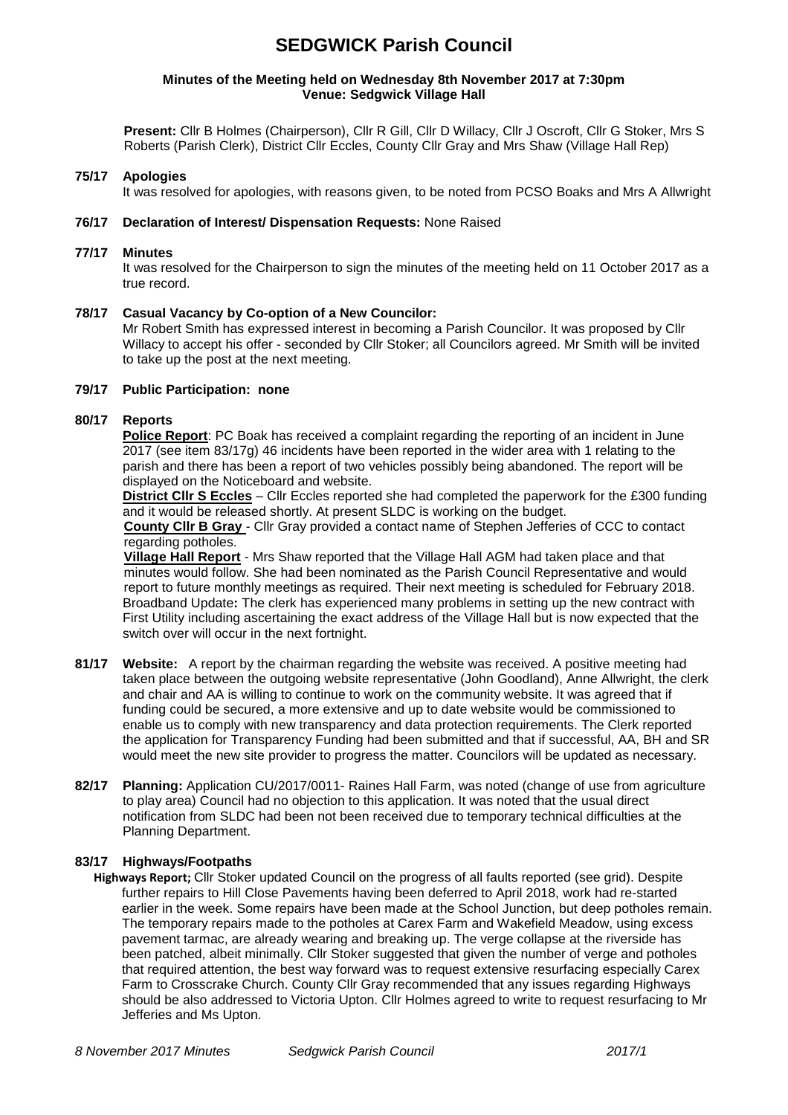# **SEDGWICK Parish Council**

#### **Minutes of the Meeting held on Wednesday 8th November 2017 at 7:30pm Venue: Sedgwick Village Hall**

**Present:** Cllr B Holmes (Chairperson), Cllr R Gill, Cllr D Willacy, Cllr J Oscroft, Cllr G Stoker, Mrs S Roberts (Parish Clerk), District Cllr Eccles, County Cllr Gray and Mrs Shaw (Village Hall Rep)

### **75/17 Apologies**

It was resolved for apologies, with reasons given, to be noted from PCSO Boaks and Mrs A Allwright

#### **76/17 Declaration of Interest/ Dispensation Requests:** None Raised

#### **77/17 Minutes**

It was resolved for the Chairperson to sign the minutes of the meeting held on 11 October 2017 as a true record.

#### **78/17 Casual Vacancy by Co-option of a New Councilor:**

Mr Robert Smith has expressed interest in becoming a Parish Councilor. It was proposed by Cllr Willacy to accept his offer - seconded by Cllr Stoker; all Councilors agreed. Mr Smith will be invited to take up the post at the next meeting.

#### **79/17 Public Participation: none**

### **80/17 Reports**

**Police Report**: PC Boak has received a complaint regarding the reporting of an incident in June 2017 (see item 83/17g) 46 incidents have been reported in the wider area with 1 relating to the parish and there has been a report of two vehicles possibly being abandoned. The report will be displayed on the Noticeboard and website.

**District Cllr S Eccles** – Cllr Eccles reported she had completed the paperwork for the £300 funding and it would be released shortly. At present SLDC is working on the budget.

**County Cllr B Gray** - Cllr Gray provided a contact name of Stephen Jefferies of CCC to contact regarding potholes.

**Village Hall Report** - Mrs Shaw reported that the Village Hall AGM had taken place and that minutes would follow. She had been nominated as the Parish Council Representative and would report to future monthly meetings as required. Their next meeting is scheduled for February 2018. Broadband Update**:** The clerk has experienced many problems in setting up the new contract with First Utility including ascertaining the exact address of the Village Hall but is now expected that the switch over will occur in the next fortnight.

- **81/17 Website:** A report by the chairman regarding the website was received. A positive meeting had taken place between the outgoing website representative (John Goodland), Anne Allwright, the clerk and chair and AA is willing to continue to work on the community website. It was agreed that if funding could be secured, a more extensive and up to date website would be commissioned to enable us to comply with new transparency and data protection requirements. The Clerk reported the application for Transparency Funding had been submitted and that if successful, AA, BH and SR would meet the new site provider to progress the matter. Councilors will be updated as necessary.
- **82/17 Planning:** Application CU/2017/0011- Raines Hall Farm, was noted (change of use from agriculture to play area) Council had no objection to this application. It was noted that the usual direct notification from SLDC had been not been received due to temporary technical difficulties at the Planning Department.

## **83/17 Highways/Footpaths**

**Highways Report;** Cllr Stoker updated Council on the progress of all faults reported (see grid). Despite further repairs to Hill Close Pavements having been deferred to April 2018, work had re-started earlier in the week. Some repairs have been made at the School Junction, but deep potholes remain. The temporary repairs made to the potholes at Carex Farm and Wakefield Meadow, using excess pavement tarmac, are already wearing and breaking up. The verge collapse at the riverside has been patched, albeit minimally. Cllr Stoker suggested that given the number of verge and potholes that required attention, the best way forward was to request extensive resurfacing especially Carex Farm to Crosscrake Church. County Cllr Gray recommended that any issues regarding Highways should be also addressed to Victoria Upton. Cllr Holmes agreed to write to request resurfacing to Mr Jefferies and Ms Upton.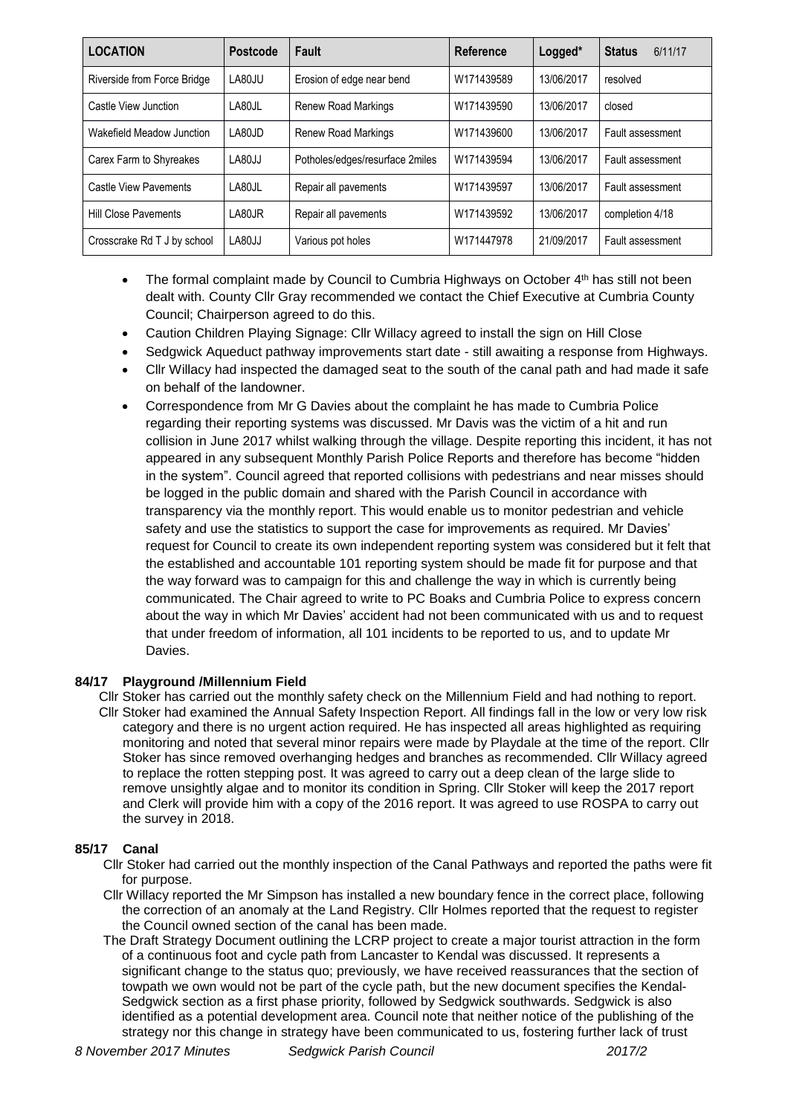| <b>LOCATION</b>              | <b>Postcode</b>       | Fault                           | Reference  | Logged*    | <b>Status</b><br>6/11/17 |
|------------------------------|-----------------------|---------------------------------|------------|------------|--------------------------|
| Riverside from Force Bridge  | LA80JU                | Erosion of edge near bend       | W171439589 | 13/06/2017 | resolved                 |
| Castle View Junction         | LA80JL                | <b>Renew Road Markings</b>      | W171439590 | 13/06/2017 | closed                   |
| Wakefield Meadow Junction    | $\overline{1}$ A80.ID | <b>Renew Road Markings</b>      | W171439600 | 13/06/2017 | Fault assessment         |
| Carex Farm to Shyreakes      | LA80JJ                | Potholes/edges/resurface 2miles | W171439594 | 13/06/2017 | Fault assessment         |
| <b>Castle View Pavements</b> | LA80JL                | Repair all pavements            | W171439597 | 13/06/2017 | Fault assessment         |
| <b>Hill Close Pavements</b>  | LA80JR                | Repair all pavements            | W171439592 | 13/06/2017 | completion 4/18          |
| Crosscrake Rd T J by school  | LA80JJ                | Various pot holes               | W171447978 | 21/09/2017 | Fault assessment         |

- The formal complaint made by Council to Cumbria Highways on October 4<sup>th</sup> has still not been dealt with. County Cllr Gray recommended we contact the Chief Executive at Cumbria County Council; Chairperson agreed to do this.
- Caution Children Playing Signage: Cllr Willacy agreed to install the sign on Hill Close
- Sedgwick Aqueduct pathway improvements start date still awaiting a response from Highways.
- Cllr Willacy had inspected the damaged seat to the south of the canal path and had made it safe on behalf of the landowner.
- Correspondence from Mr G Davies about the complaint he has made to Cumbria Police regarding their reporting systems was discussed. Mr Davis was the victim of a hit and run collision in June 2017 whilst walking through the village. Despite reporting this incident, it has not appeared in any subsequent Monthly Parish Police Reports and therefore has become "hidden in the system". Council agreed that reported collisions with pedestrians and near misses should be logged in the public domain and shared with the Parish Council in accordance with transparency via the monthly report. This would enable us to monitor pedestrian and vehicle safety and use the statistics to support the case for improvements as required. Mr Davies' request for Council to create its own independent reporting system was considered but it felt that the established and accountable 101 reporting system should be made fit for purpose and that the way forward was to campaign for this and challenge the way in which is currently being communicated. The Chair agreed to write to PC Boaks and Cumbria Police to express concern about the way in which Mr Davies' accident had not been communicated with us and to request that under freedom of information, all 101 incidents to be reported to us, and to update Mr Davies.

## **84/17 Playground /Millennium Field**

- Cllr Stoker has carried out the monthly safety check on the Millennium Field and had nothing to report.
- Cllr Stoker had examined the Annual Safety Inspection Report. All findings fall in the low or very low risk category and there is no urgent action required. He has inspected all areas highlighted as requiring monitoring and noted that several minor repairs were made by Playdale at the time of the report. Cllr Stoker has since removed overhanging hedges and branches as recommended. Cllr Willacy agreed to replace the rotten stepping post. It was agreed to carry out a deep clean of the large slide to remove unsightly algae and to monitor its condition in Spring. Cllr Stoker will keep the 2017 report and Clerk will provide him with a copy of the 2016 report. It was agreed to use ROSPA to carry out the survey in 2018.

## **85/17 Canal**

- Cllr Stoker had carried out the monthly inspection of the Canal Pathways and reported the paths were fit for purpose.
- Cllr Willacy reported the Mr Simpson has installed a new boundary fence in the correct place, following the correction of an anomaly at the Land Registry. Cllr Holmes reported that the request to register the Council owned section of the canal has been made.
- The Draft Strategy Document outlining the LCRP project to create a major tourist attraction in the form of a continuous foot and cycle path from Lancaster to Kendal was discussed. It represents a significant change to the status quo; previously, we have received reassurances that the section of towpath we own would not be part of the cycle path, but the new document specifies the Kendal-Sedgwick section as a first phase priority, followed by Sedgwick southwards. Sedgwick is also identified as a potential development area. Council note that neither notice of the publishing of the strategy nor this change in strategy have been communicated to us, fostering further lack of trust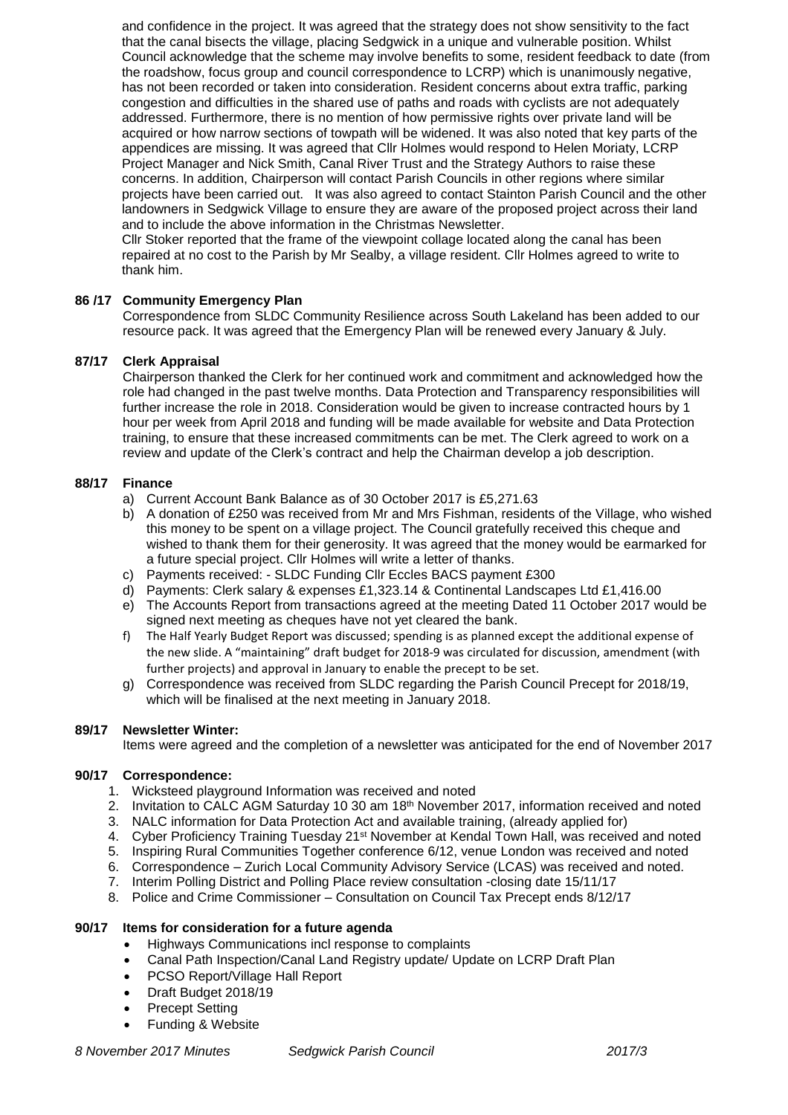and confidence in the project. It was agreed that the strategy does not show sensitivity to the fact that the canal bisects the village, placing Sedgwick in a unique and vulnerable position. Whilst Council acknowledge that the scheme may involve benefits to some, resident feedback to date (from the roadshow, focus group and council correspondence to LCRP) which is unanimously negative, has not been recorded or taken into consideration. Resident concerns about extra traffic, parking congestion and difficulties in the shared use of paths and roads with cyclists are not adequately addressed. Furthermore, there is no mention of how permissive rights over private land will be acquired or how narrow sections of towpath will be widened. It was also noted that key parts of the appendices are missing. It was agreed that Cllr Holmes would respond to Helen Moriaty, LCRP Project Manager and Nick Smith, Canal River Trust and the Strategy Authors to raise these concerns. In addition, Chairperson will contact Parish Councils in other regions where similar projects have been carried out. It was also agreed to contact Stainton Parish Council and the other landowners in Sedgwick Village to ensure they are aware of the proposed project across their land and to include the above information in the Christmas Newsletter.

Cllr Stoker reported that the frame of the viewpoint collage located along the canal has been repaired at no cost to the Parish by Mr Sealby, a village resident. Cllr Holmes agreed to write to thank him.

# **86 /17 Community Emergency Plan**

Correspondence from SLDC Community Resilience across South Lakeland has been added to our resource pack. It was agreed that the Emergency Plan will be renewed every January & July.

## **87/17 Clerk Appraisal**

Chairperson thanked the Clerk for her continued work and commitment and acknowledged how the role had changed in the past twelve months. Data Protection and Transparency responsibilities will further increase the role in 2018. Consideration would be given to increase contracted hours by 1 hour per week from April 2018 and funding will be made available for website and Data Protection training, to ensure that these increased commitments can be met. The Clerk agreed to work on a review and update of the Clerk's contract and help the Chairman develop a job description.

## **88/17 Finance**

- a) Current Account Bank Balance as of 30 October 2017 is £5,271.63
- b) A donation of £250 was received from Mr and Mrs Fishman, residents of the Village, who wished this money to be spent on a village project. The Council gratefully received this cheque and wished to thank them for their generosity. It was agreed that the money would be earmarked for a future special project. Cllr Holmes will write a letter of thanks.
- c) Payments received: SLDC Funding Cllr Eccles BACS payment £300
- d) Payments: Clerk salary & expenses £1,323.14 & Continental Landscapes Ltd £1,416.00
- e) The Accounts Report from transactions agreed at the meeting Dated 11 October 2017 would be signed next meeting as cheques have not yet cleared the bank.
- f) The Half Yearly Budget Report was discussed; spending is as planned except the additional expense of the new slide. A "maintaining" draft budget for 2018-9 was circulated for discussion, amendment (with further projects) and approval in January to enable the precept to be set.
- g) Correspondence was received from SLDC regarding the Parish Council Precept for 2018/19, which will be finalised at the next meeting in January 2018.

# **89/17 Newsletter Winter:**

Items were agreed and the completion of a newsletter was anticipated for the end of November 2017

## **90/17 Correspondence:**

- 1. Wicksteed playground Information was received and noted
- 2. Invitation to CALC AGM Saturday 10 30 am 18th November 2017, information received and noted
- 3. NALC information for Data Protection Act and available training, (already applied for)
- 4. Cyber Proficiency Training Tuesday 21st November at Kendal Town Hall, was received and noted
- 5. Inspiring Rural Communities Together conference 6/12, venue London was received and noted
- 6. Correspondence Zurich Local Community Advisory Service (LCAS) was received and noted.
- 7. Interim Polling District and Polling Place review consultation -closing date 15/11/17
- 8. Police and Crime Commissioner Consultation on Council Tax Precept ends 8/12/17

## **90/17 Items for consideration for a future agenda**

- Highways Communications incl response to complaints
- Canal Path Inspection/Canal Land Registry update/ Update on LCRP Draft Plan
- PCSO Report/Village Hall Report
- Draft Budget 2018/19
- Precept Setting
- Funding & Website